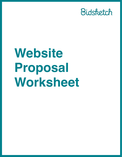

# **Website Proposal Worksheet**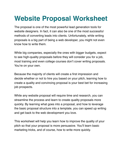## **Website Proposal Worksheet**

The proposal is one of the most powerful lead generation tools for website designers. In fact, it can also be one of the most successful methods of converting leads into clients. Unfortunately, while writing proposals is a big part of being a web developer, you might not even know how to write them.

While big companies, especially the ones with bigger budgets, expect to see high-quality proposals before they will consider you for a job, most training and even college courses don't cover writing proposals. You're on your own.

Because the majority of clients will create a first impression and decide whether or not to hire you based on your pitch, learning how to create a quality and convincing proposal is your best bet for increasing job prospects.

While any website proposal will require time and research, you can streamline the process and learn to create quality proposals more quickly. By learning what goes into a proposal, and how to leverage the basic proposal structure into a template, you can speed up writing and get back to the web development you love.

This worksheet will help you learn how to improve the quality of your pitch so that your proposal is more persuasive. You'll learn basic marketing tricks, and of course, how to write more quickly.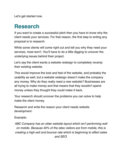Let's get started now.

### **Research**

If you want to create a successful pitch then you have to know why the client needs your services. For that reason, the first step to writing any proposal is to research.

While some clients will come right out and tell you why they need your services, most won't. You'll have to do a little digging to uncover the underlying issues behind their project.

Let's say the client wants a website redesign to completely revamp their existing website.

This would improve the look and feel of the website, and probably the usability as well, but a website redesign doesn't make the company any money. Why do they really need a new website? Businesses are all trying to make money and that means that they wouldn't spend money unless they thought they could make it back.

Your research should uncover the problems you can solve to help make the client money.

Research and write the reason your client needs website development:

Example:

*ABC Company has an older website layout which isn't performing well on mobile. Because 40% of the sites visitors are from mobile, this is creating a high exit and bounce rate which is beginning to affect sales and SEO.*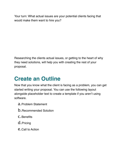Your turn: What actual issues are your potential clients facing that would make them want to hire you?

Researching the clients actual issues, or getting to the heart of why they need solutions, will help you with creating the rest of your proposal.

## **Create an Outline**

Now that you know what the client is facing as a problem, you can get started writing your proposal. You can use the following layout alongside placeholder text to create a template if you aren't using software.

- a.Problem Statement
- b.Recommended Solution
- c.Benefits
- d.Pricing
- e.Call to Action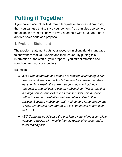## **Putting it Together**

If you have placeholder text from a template or successful proposal, then you can use that to style your content. You can also use some of the examples from this how-to if you need help with structure. There are five basic parts of a proposal:

#### **1. Problem Statement**

The problem statement puts your research in client friendly language to show them that you understand their issues. By putting this information at the start of your proposal, you attract attention and stand out from your competitors.

Example:

- *While web standards and codes are constantly updating, it has been several years since ABC Company has redesigned their website. As a result, the current page is slow to load, notresponsive, and difficult to use on mobile sites. This is resulting in a high bounce and exit rate as mobile visitors hit the back button in search of websites that are better suited to their devices. Because mobile currently makes up a large percentage of ABC Companies demographic, this is beginning to hurt sales and SEO.*
- *ABC Company could solve the problem by launching a complete website re-design with mobile friendly responsive code, and a faster loading site.*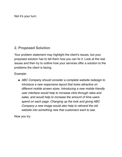Not it's your turn:

#### **2. Proposed Solution**

Your problem statement may highlight the client's issues, but your proposed solution has to tell them how you can fix it. Look at the real issues and then try to outline how your services offer a solution to the problems the client is facing.

Example:

• *ABC Company should consider a complete website redesign to introduce a new responsive layout that looks attractive on different mobile screen sizes. Introducing a new mobile friendly user interface would help to increase click-through rates and sales, and would help to increase the amount of time users spend on each page. Changing up the look and giving ABC Company a new image would also help to rebrand the old website into something new that customers want to see.* 

Now you try: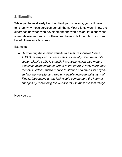#### **3. Benefits**

While you have already told the client your solutions, you still have to tell them why those services benefit them. Most clients won't know the difference between web development and web design, let alone what a web developer can do for them. You have to tell them how you can benefit them as a business.

Example:

• *By updating the current website to a fast, responsive theme, ABC Company can increase sales, especially from the mobile sector. Mobile traffic is steadily increasing, which also means that sales might increase further in the future. A new, more user friendly interface, would reduce frustration and stress for anyone surfing the website, and would hopefully increase sales as well. Finally, introducing a new look would complement the internal changes by rebranding the website into its more modern image.* 

Now you try: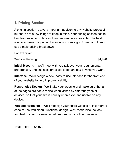#### **4. Pricing Section**

A pricing section is a very important addition to any website proposal but there are a few things to keep in mind. Your pricing section has to be clean, easy to understand, and as simple as possible. The best way to achieve this perfect balance is to use a grid format and then to use simple pricing breakdown.

For example:

Website Redesign………………………………………………….. \$4,970

**Initial Meeting** – We'll meet with you talk over your requirements, preferences, and business practices to get an idea of what you want.

**Interface**– We'll design a new, easy to use interface for the front end of your website to help improve usability.

**Responsive Design**– We'll take your website and make sure that all of the pages are set to resize when visited by different types of devices, so that your site is equally impressive and usable on any device.

**Website Redesign** – We'll redesign your entire website to incorporate ease of use with clean, functional design. We'll modernize the look and feel of your business to help rebrand your online presence.

Total Price: \$4,970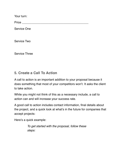Your turn:

Price \_\_\_\_\_\_\_\_\_\_\_\_\_\_\_\_\_\_\_\_\_\_\_\_\_\_\_\_\_\_\_\_\_\_\_\_\_\_\_\_

Service One

Service Two

Service Three

#### **5. Create a Call To Action**

A call to action is an important addition to your proposal because it does something that most of your competitors won't. It asks the client to take action.

While you might not think of this as a necessary include, a call to action can and will increase your success rate.

A good call to action includes contact information, final details about the project, and a quick look at what's in the future for companies that accept projects:

Here's a quick example:

*To get started with the proposal, follow these steps:*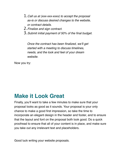- 1.*Call us at (xxx-xxx-xxxx) to accept the proposal as-is or discuss desired changes to the website, or contract details.*
- 2.*Finalize and sign contract.*
- 3.*Submit initial payment of 50% of the final budget.*

*Once the contract has been finalized, we'll get started with a meeting to discuss timelines, needs, and the look and feel of your dream website.* 

Now you try:

## **Make it Look Great**

Finally, you'll want to take a few minutes to make sure that your proposal looks as good as it sounds. Your proposal is your only chance to make a good first impression, so take the time to incorporate an elegant design in the header and footer, and to ensure that the layout and font on the proposal both look good. Do a quick proofread to ensure that all of your content is in place, and make sure you take out any irrelevant text and placeholders.

Good luck writing your website proposals.